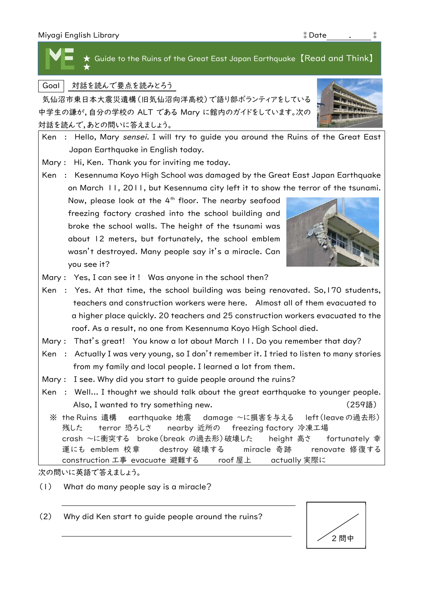Miyagi English Library ⁑Date . ⁑ Goal 対話を読んで要点を読みとろう 気仙沼市東日本大震災遺構(旧気仙沼向洋高校)で語り部ボランティアをしている  $\star$  Guide to the Ruins of the Great East Japan Earthquake 【Read and Think】 ★

中学生の謙が,自分の学校の ALT である Mary に館内のガイドをしています。次の 対話を読んで,あとの問いに答えましょう。



次の問いに英語で答えましょう。

(1) What do many people say is a miracle?

(2) Why did Ken start to guide people around the ruins?





- 
- Ken : Yes. At that time, the school building was being renovated. So,170 students, a higher place quickly. 20 teachers and 25 construction workers evacuated to the
- Mary : That's great! You know a lot about March II. Do you remember that day?
- Ken : Actually I was very young, so I don't remember it. I tried to listen to many stories
- Mary : I see. Why did you start to guide people around the ruins?
- Ken : Well... I thought we should talk about the great earthquake to younger people.
	- crash ~に衝突する broke(break の過去形)破壊した height 高さ fortunately 幸 運にも emblem 校章 destroy 破壊する miracle 奇跡 renovate 修復する construction 工事 evacuate 避難する roof 屋上 actually 実際に